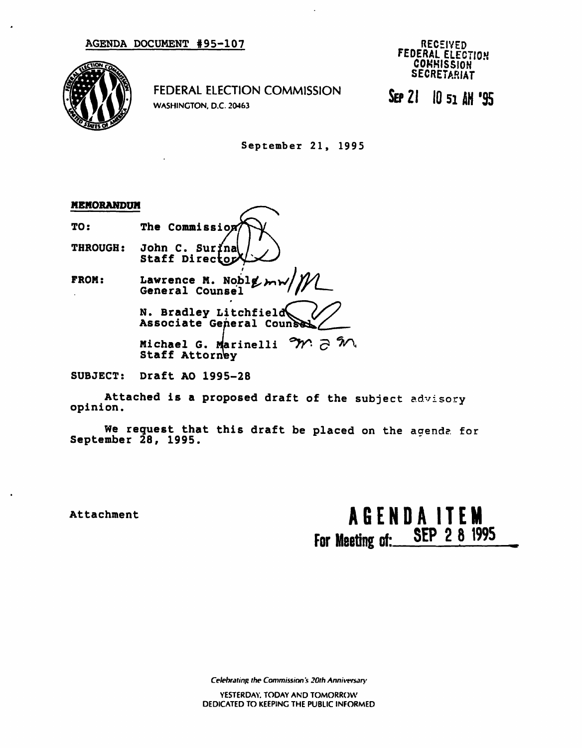

FEDERAL ELECTION COMMISSION WASHINGTON. D.C. 20463

RECEIVED FEDERAL ELECTION **COMMISSION** SECRETARIAT

SEP 21 10 si 4M '95

September 21, 1995

# MEMORANDUM

TO: The Commission THROUGH: John C. Surina Staff Director

FROM: Lawrence M. Noblg  $m_1$ General Counsel

> N. Bradley Litchfiel Associate General Coun

> Michael G. Marinelli  $\gamma$   $\gtrsim$   $\gamma$ Staff Attorney

SUBJECT: Draft AO 1995-28

Attached is a proposed draft of the subject advisory opinion.

We request that this draft be placed on the agende. for September  $28, 1995.$ 

Attachment AGENDA ITEM For Meeting of: SEP 2 8 1995

Celebrating the Commission's 20th Anniversary

YESTERDAY. TODAY AND TOMORROW DEDICATED TO KEEPING THE PUBLIC INFORMED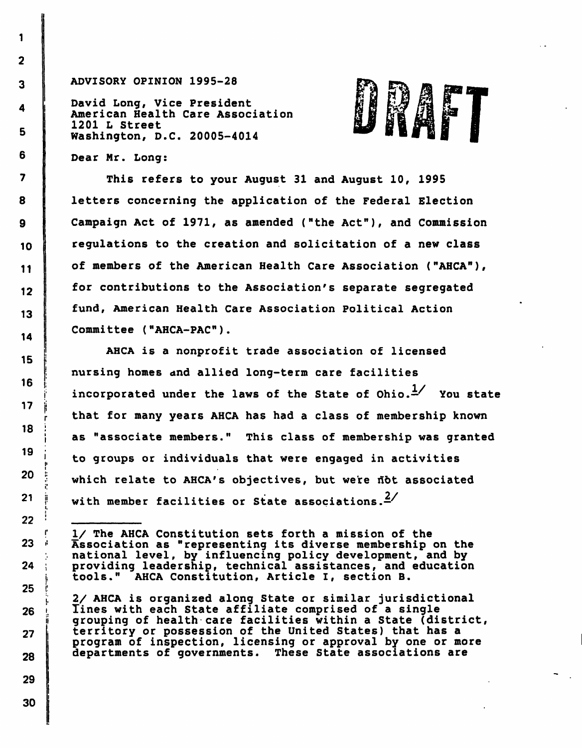#### ADVISORY OPINION 1995-28

David Long, Vice President American Health Care Association 1201 L Street Washington, D.C. 20005-4014



Dear Mr. Long:

This refers to your August 31 and August 10, 1995 letters concerning the application of the Federal Election Campaign Act of 1971, as amended ("the Act"), and Commission regulations to the creation and solicitation of a new class of members of the American Health Care Association ("AHCA"), for contributions to the Association's separate segregated fund, American Health Care Association Political Action Committee ("AHCA-PAC").

AHCA is a nonprofit trade association of licensed nursing homes and allied long-term care facilities incorporated under the laws of the State of Ohio. $\frac{1}{2}$  You state that for many years AHCA has had a class of membership known as "associate members." This class of membership was granted to groups or individuals that were engaged in activities which relate to AHCA's objectives, but were not associated with member facilities or State associations. $4/$ 

I/ The AHCA Constitution sets forth a mission of the Association as "representing its diverse membership on the national level, by influencing policy development, and by providing leadership, technical assistances, and education tools." AHCA Constitution, Article I, section B.

2/ AHCA is organized along State or similar jurisdictional Tines with each State affiliate comprised of a single grouping of health care facilities within a State (district, territory or possession of the United States) that has a program of inspection, licensing or approval by one or more departments of governments. These State associations are

r

1

I'

r

<sup>i</sup>'

i.

30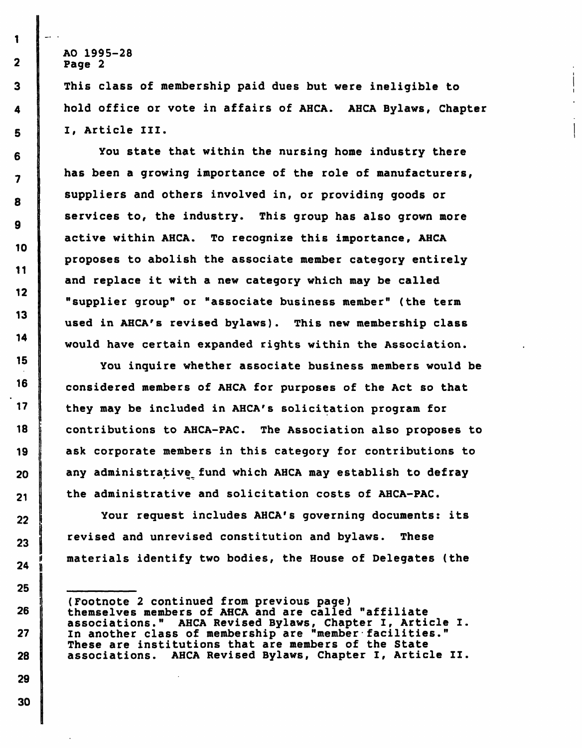This class of membership paid dues but were ineligible to hold office or vote in affairs of AHCA. AHCA Bylaws, Chapter I, Article III.

You state that within the nursing home industry there has been a growing importance of the role of manufacturers, suppliers and others involved in, or providing goods or services to, the industry. This group has also grown more active within AHCA. To recognize this importance, AHCA proposes to abolish the associate member category entirely and replace it with a new category which may be called "supplier group" or "associate business member" (the term used in AHCA's revised bylaws). This new membership class would have certain expanded rights within the Association.

You inquire whether associate business members would be considered members of AHCA for purposes of the Act so that they may be included in AHCA's solicitation program for contributions to AHCA-PAC. The Association also proposes to ask corporate members in this category for contributions to any administrative, fund which AHCA may establish to defray the administrative and solicitation costs of AHCA-PAC.

Your request includes AHCA's governing documents: its revised and unrevised constitution and bylaws. These materials identify two bodies, the House of Delegates (the

 $\overline{2}$ 

 $\overline{\mathbf{3}}$ 

<sup>(</sup>Footnote 2 continued from previous page) themselves members of AHCA and are called "affiliate associations." AHCA Revised Bylaws, Chapter I, Article I. In another class of membership are "member facilities." These are institutions that are members of the State associations. AHCA Revised Bylaws, Chapter I, Article II.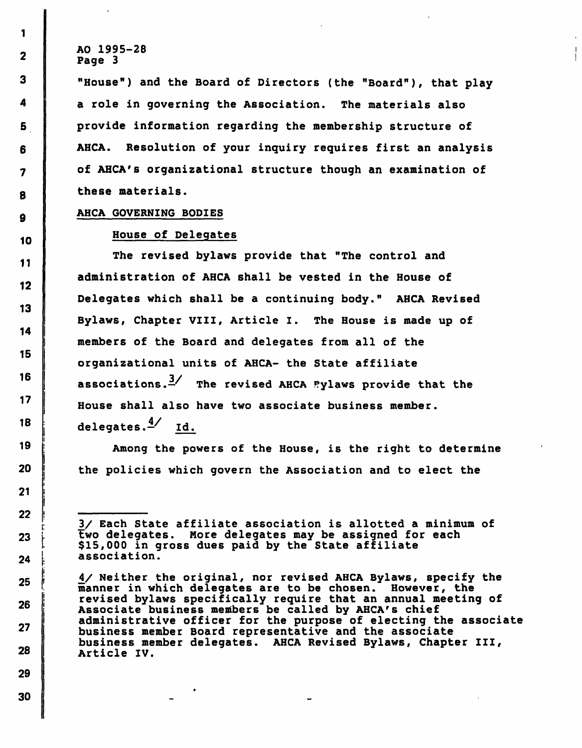"House") and the Board of Directors (the "Board"), that play a role in governing the Association. The materials also provide information regarding the membership structure of AHCA. Resolution of your inquiry requires first an analysis of AHCA's organizational structure though an examination of these materials.

#### AHCA GOVERNING BODIES

### House of Delegates

The revised bylaws provide that "The control and administration of AHCA shall be vested in the House of Delegates which shall be a continuing body." AHCA Revised Bylaws, Chapter VIII, Article I. The House is made up of members of the Board and delegates from all of the organizational units of AHCA- the State affiliate associations. $\frac{3}{4}$  The revised AHCA Pylaws provide that the House shall also have two associate business member, delegates. $\frac{4}{ }$  Id.

Among the powers of the House, is the right to determine the policies which govern the Association and to elect the

<sup>3/</sup> Each State affiliate association is allotted a minimum of two delegates. More delegates may be assigned for each \$15,000 in gross dues paid by the State affiliate association.

<sup>4/</sup> Neither the original, nor revised AHCA Bylaws, specify the manner in which delegates are to be chosen. However, the revised bylaws specifically require that an annual meeting of Associate business members be called by AHCA's chief administrative officer for the purpose of electing the associate business member Board representative and the associate business member delegates. AHCA Revised Bylaws, Chapter III, Article IV.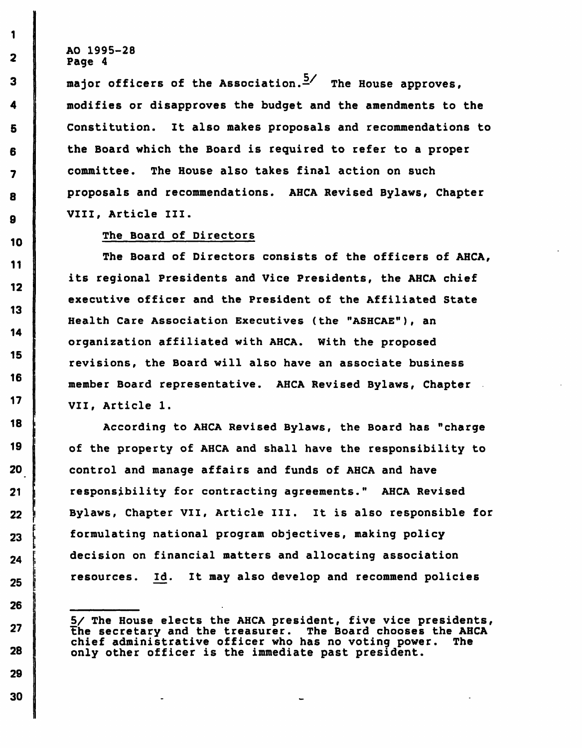1

 $\overline{2}$ 

3

4

5

6

 $\overline{\mathbf{z}}$ 

8

9

10

11

12

13

14

15

16

 $17$ 

18

19

20

21

 $22 \overline{ }$ 

23

24

25

26

27

28

29

30

major officers of the Association.<sup>5</sup>/ The House approves. modifies or disapproves the budget and the amendments to the Constitution. It also makes proposals and recommendations to the Board which the Board is required to refer to a proper committee. The House also takes final action on such proposals and recommendations. AHCA Revised Bylaws, Chapter VIII, Article III.

## The Board of Directors

The Board of Directors consists of the officers of AHCA, its regional Presidents and Vice Presidents, the AHCA chief executive officer and the President of the Affiliated State Health Care Association Executives (the "ASHCAE"), an organization affiliated with AHCA. With the proposed revisions, the Board will also have an associate business member Board representative. AHCA Revised Bylaws, Chapter VII, Article 1.

According to AHCA Revised Bylaws, the Board has "charge of the property of AHCA and shall have the responsibility to control and manage affairs and funds of AHCA and have responsibility for contracting agreements." AHCA Revised Bylaws, Chapter VII, Article III. It is also responsible for formulating national program objectives, making policy decision on financial matters and allocating association resources. Id. It may also develop and recommend policies

S/ The House elects the AHCA president, five vice presidents, The secretary and the treasurer. The Board chooses the AHCA<br>chief administrative officer who has no voting power. The chief administrative officer who has no voting power. only other officer is the immediate past president.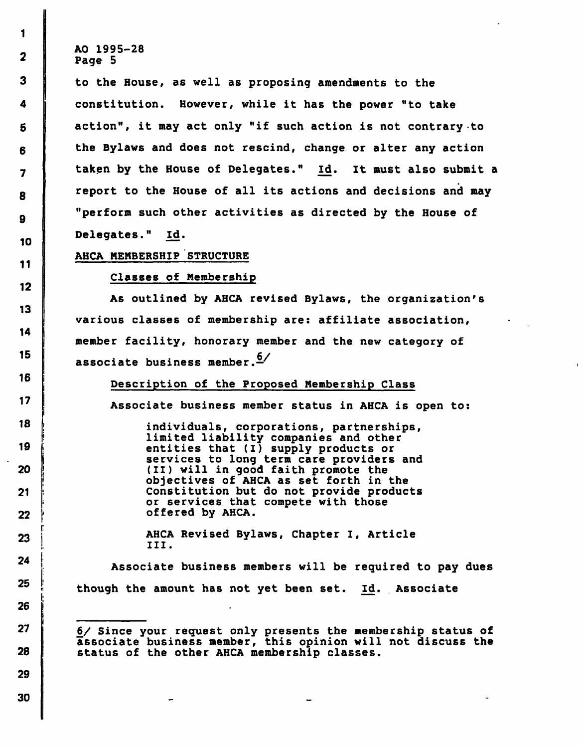to the House, as well as proposing amendments to the constitution. However, while it has the power "to take action", it may act only "if such action is not contrary to the Bylaws and does not rescind, change or alter any action taken by the House of Delegates." Id. It must also submit a report to the House of all its actions and decisions and may "perform such other activities as directed by the House of Delegates." Id.

## AHCA MEMBERSHIP STRUCTURE

Classes of Membership

As outlined by AHCA revised Bylaws, the organization's various classes of membership are: affiliate association, member facility, honorary member and the new category of associate business member.  $6/$ 

Description of the Proposed Membership Class

Associate business member status in AHCA is open to:

individuals, corporations, partnerships, limited liability companies and other entities that (I) supply products or services to long term care providers and (II) will in good faith promote the objectives of AHCA as set forth in the Constitution but do not provide products or services that compete with those offered by AHCA.

AHCA Revised Bylaws, Chapter I, Article III.

Associate business members will be required to pay dues though the amount has not yet been set. Id. Associate

£/ Since your request only presents the membership status of associate business member, this opinion will not discuss the status of the other AHCA membership classes.

1

 $\mathbf{2}$ 

 $\overline{\mathbf{3}}$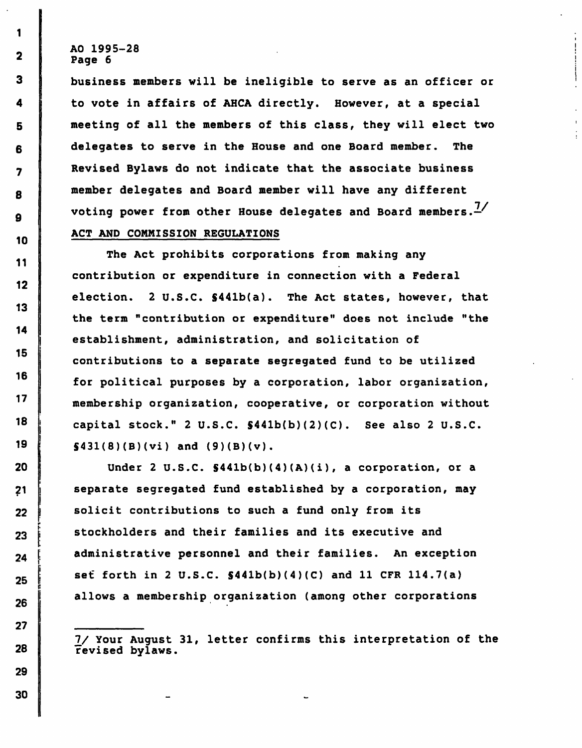$\mathbf{1}$ 

 $\mathbf{2}$ 

3

4

5

6

7

8

9

10

11

12

13

 $14$ 

 $15<sub>1</sub>$ 

16

 $17$ 

18

19

20

 $21$ 

22

23

24

25

26

 $27$ 

28

29

business members will be ineligible to serve as an officer or to vote in affairs of AHCA directly. However, at a special meeting of all the members of this class, they will elect two delegates to serve in the House and one Board member. The Revised Bylaws do not indicate that the associate business member delegates and Board member will have any different voting power from other House delegates and Board members. $\frac{7}{4}$ ACT AND COMMISSION REGULATIONS

The Act prohibits corporations from making any contribution or expenditure in connection with a Federal election. 2 U.S.C. S441b(a). The Act states, however, that the term "contribution or expenditure" does not include "the establishment, administration, and solicitation of contributions to a separate segregated fund to be utilized for political purposes by a corporation, labor organization, membership organization, cooperative, or corporation without capital stock." 2 U.S.C. \$441b(b)(2)(C). See also 2 U.S.C.  $\{431(8)(B)(vi)$  and  $(9)(B)(v)$ .

Under 2 U.S.C. S441b(b)(4)(A)(i), a corporation, or a separate segregated fund established by a corporation, may solicit contributions to such a fund only from its stockholders and their families and its executive and administrative personnel and their families. An exception set forth in 2 U.S.C.  $$441b(b)(4)(C)$  and 11 CFR 114.7(a) allows a membership organization (among other corporations

7/ Your August 31, letter confirms this interpretation of the revised bylaws.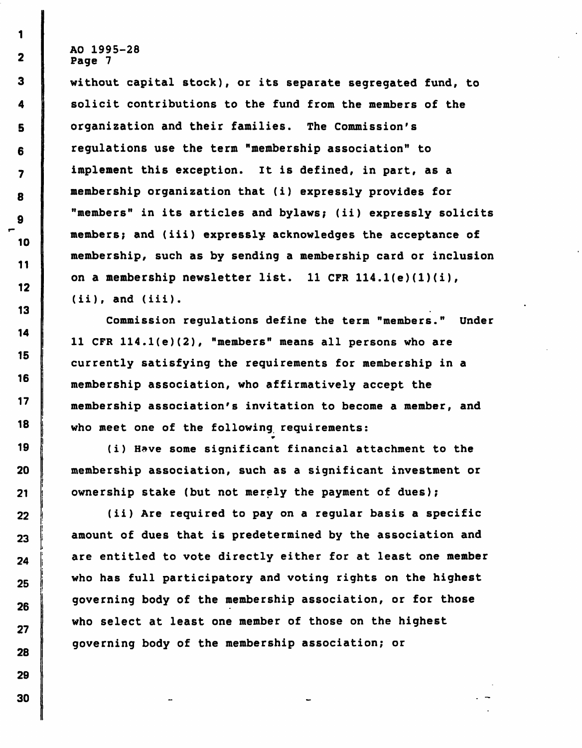without capital stock), or its separate segregated fund, to solicit contributions to the fund from the members of the organization and their families. The Commission's regulations use the term "membership association" to implement this exception. It is defined, in part, as a membership organization that (i) expressly provides for "members" in its articles and bylaws; (ii) expressly solicits members; and (iii) expressly acknowledges the acceptance of membership, such as by sending a membership card or inclusion on a membership newsletter list. 11 CFR 114.1(e)(1)(i),  $(iii)$ , and  $(iii)$ .

Commission regulations define the term "members." Under 11 CFR 114.1(e)(2), "members" means all persons who are currently satisfying the requirements for membership in a membership association, who affirmatively accept the membership association's invitation to become a member, and who meet one of the following requirements:

(i) Have some significant financial attachment to the membership association, such as a significant investment or ownership stake (but not merely the payment of dues);

•r

(ii) Are required to pay on a regular basis a specific amount of dues that is predetermined by the association and are entitled to vote directly either for at least one member who has full participatory and voting rights on the highest governing body of the membership association, or for those who select at least one member of those on the highest governing body of the membership association; or

1

 $\overline{\mathbf{2}}$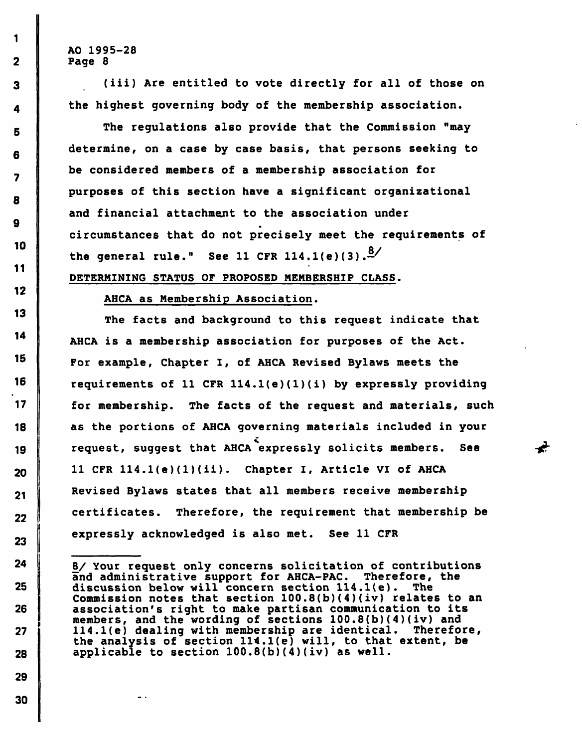1

 $\overline{2}$ 

3

4

5.

7

8

 $\mathbf{Q}$ 

10

 $11$ 

 $12<sub>2</sub>$ 

13

14

15

16

 $17$ 

18

19

20

 $21$ 

22

23

24

 $25$ 

26

27

28

29

(iii) Are entitled to vote directly for all of those on the highest governing body of the membership association.

The regulations also provide that the Commission "may determine, on a case by case basis, that persons seeking to be considered members of a membership association for purposes of this section have a significant organizational and financial attachment to the association under circumstances that do not precisely meet the requirements of the general rule." See 11 CFR  $114.1(e)(3).$ 

DETERMINING STATUS OF PROPOSED MEMBERSHIP CLASS.

AHCA as Membership Association.

The facts and background to this request indicate that AHCA is a membership association for purposes of the Act. For example, Chapter I, of AHCA Revised Bylaws meets the requirements of 11 CFR 114.1(e)(1)(i) by expressly providing for membership. The facts of the request and materials, such as the portions of AHCA governing materials included in your request, suggest that AHCA expressly solicits members. See 11 CFR 114.1(e)(l)(ii). Chapter I, Article VI of AHCA Revised Bylaws states that all members receive membership certificates. Therefore, the requirement that membership be expressly acknowledged is also met. See 11 CFR

-€

8/ Your request only concerns solicitation of contributions and administrative support for AHCA-PAC. Therefore, the discussion below will concern section 114.l(e). The Commission notes that section  $100.8(b)(4)(iv)$  relates to an association's right to make partisan communication to its members, and the wording of sections 100.8(b)(4)(iv) and 114.l(e) dealing with membership are identical. Therefore, the analysis of section 114.l(e) will, to that extent, be applicable to section 100.8(b)(4)(iv) as well.

30

 $\ddot{\phantom{1}}$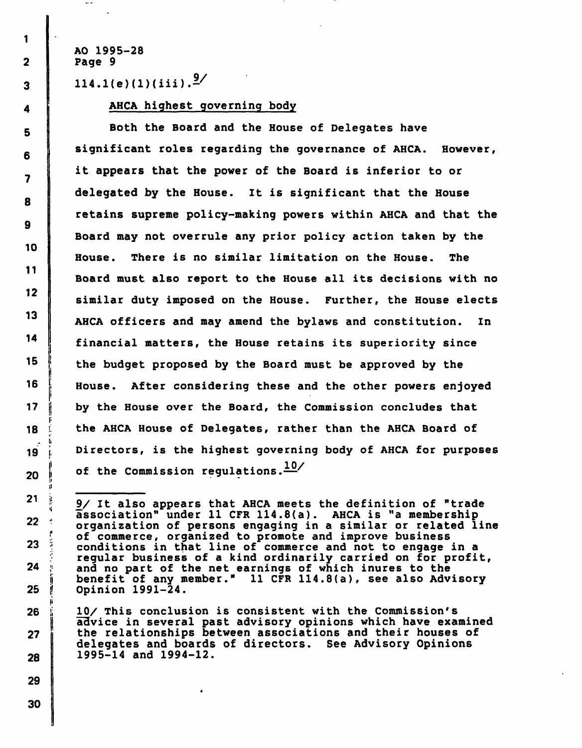AO 1995-28 2 | Page 9

 $\sim$   $-$ 

 $114.1(e)(1)(iii).$ <sup>9/</sup>

4 **AHCA highest governing body** 

5 Both the Board and the House of Delegates have significant roles regarding the governance of AHCA. However, it appears that the power of the Board is inferior to or delegated by the House. It is significant that the House retains supreme policy-making powers within AHCA and that the Board may not overrule any prior policy action taken by the House. There is no similar limitation on the House. The Board must also report to the House all its decisions with no similar duty imposed on the House. Further, the House elects 13 AHCA officers and may amend the bylaws and constitution. In financial matters, the House retains its superiority since  $15$  ; the budget proposed by the Board must be approved by the 16 | House. After considering these and the other powers enjoyed 17 **j** by the House over the Board, the Commission concludes that 18 i the AHCA House of Delegates, rather than the AHCA Board of 19 j. Directors, is the highest governing body of AHCA for purposes 20 of the Commission regulations.  $\frac{10}{10}$ 

26 ii 10/ This conclusion is consistent with the Commission's advice in several past advisory opinions which have examined 27 **the relationships between associations and their houses of** delegates and boards of directors. See Advisory Opinions 28 1995-14 and 1994-12.

r

i:

i

30

 $21$   $\frac{9}{1}$  It also appears that AHCA meets the definition of "trade" association" under 11 CFR 114.8(a). AHCA is "a membership<br>organization of persons engaging in a similar or related line of commerce, organized to promote and improve business 23 ;! conditions in that line of commerce and not to engage in a regular business of a kind ordinarily carried on for profit,  $24$  ; and no part of the net earnings of which inures to the jj benefit of any member." 11 CFR 114.8(a), see also Advisory 25 j! Opinion 1991-24.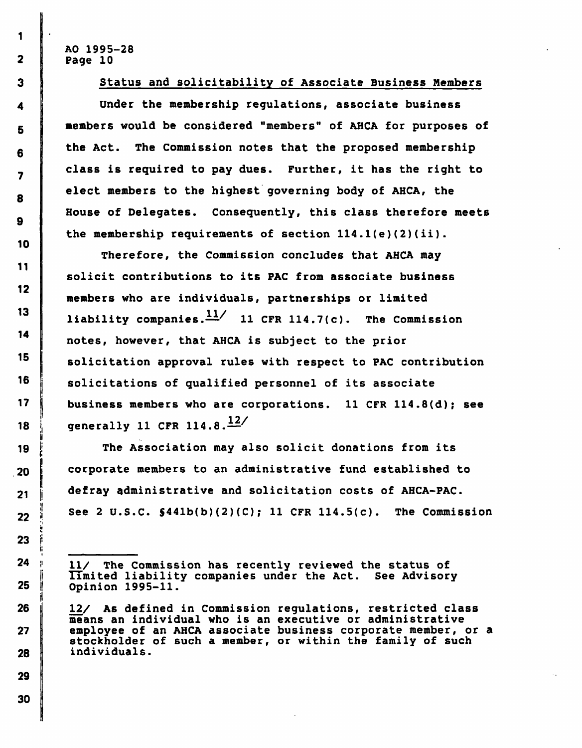### Status and solicitability of Associate Business Members

Under the membership regulations, associate business members would be considered "members" of AHCA for purposes of the Act. The Commission notes that the proposed membership class is required to pay dues. Further, it has the right to elect members to the highest governing body of AHCA, the House of Delegates. Consequently, this class therefore meets the membership requirements of section 114 .l(e) (2)(ii).

Therefore, the Commission concludes that AHCA may solicit contributions to its PAC from associate business members who are individuals, partnerships or limited liability companies. $\frac{11}{11}$  11 CFR 114.7(c). The Commission notes, however, that AHCA is subject to the prior solicitation approval rules with respect to PAC contribution solicitations of qualified personnel of its associate business members who are corporations. 11 CFR 114.8(d); see generally 11 CFR 114.8. $\frac{12}{1}$ 

The Association may also solicit donations from its corporate members to an administrative fund established to defray administrative and solicitation costs of AHCA-PAC.  $22$  || See 2 U.S.C.  $$441b(b)(2)(C)$ ; 11 CFR 114.5(c). The Commission

 $24$  ;  $11/$  The Commission has recently reviewed the status of limited liability companies under the Act. See Advisory Opinion 1995-11.

26  $\parallel$  12/ As defined in Commission regulations, restricted class means an individual who is an executive or administrative 27 employee of an AHCA associate business corporate member, or a stockholder of such a member, or within the family of such 28 individuals.

1

 $\overline{2}$ 

•iH

i;

!